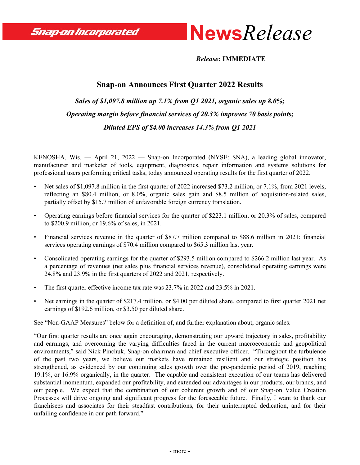Snap-on Incorporated



 *Release***: IMMEDIATE**

# **Snap-on Announces First Quarter 2022 Results**

*Sales of \$1,097.8 million up 7.1% from Q1 2021, organic sales up 8.0%; Operating margin before financial services of 20.3% improves 70 basis points; Diluted EPS of \$4.00 increases 14.3% from Q1 2021*

KENOSHA, Wis. — April 21, 2022 — Snap-on Incorporated (NYSE: SNA), a leading global innovator, manufacturer and marketer of tools, equipment, diagnostics, repair information and systems solutions for professional users performing critical tasks, today announced operating results for the first quarter of 2022.

- Net sales of \$1,097.8 million in the first quarter of 2022 increased \$73.2 million, or 7.1%, from 2021 levels, reflecting an \$80.4 million, or 8.0%, organic sales gain and \$8.5 million of acquisition-related sales, partially offset by \$15.7 million of unfavorable foreign currency translation.
- Operating earnings before financial services for the quarter of \$223.1 million, or 20.3% of sales, compared to \$200.9 million, or 19.6% of sales, in 2021.
- Financial services revenue in the quarter of \$87.7 million compared to \$88.6 million in 2021; financial services operating earnings of \$70.4 million compared to \$65.3 million last year.
- Consolidated operating earnings for the quarter of \$293.5 million compared to \$266.2 million last year. As a percentage of revenues (net sales plus financial services revenue), consolidated operating earnings were 24.8% and 23.9% in the first quarters of 2022 and 2021, respectively.
- The first quarter effective income tax rate was 23.7% in 2022 and 23.5% in 2021.
- Net earnings in the quarter of \$217.4 million, or \$4.00 per diluted share, compared to first quarter 2021 net earnings of \$192.6 million, or \$3.50 per diluted share.

See "Non-GAAP Measures" below for a definition of, and further explanation about, organic sales.

"Our first quarter results are once again encouraging, demonstrating our upward trajectory in sales, profitability and earnings, and overcoming the varying difficulties faced in the current macroeconomic and geopolitical environments," said Nick Pinchuk, Snap-on chairman and chief executive officer. "Throughout the turbulence of the past two years, we believe our markets have remained resilient and our strategic position has strengthened, as evidenced by our continuing sales growth over the pre-pandemic period of 2019, reaching 19.1%, or 16.9% organically, in the quarter. The capable and consistent execution of our teams has delivered substantial momentum, expanded our profitability, and extended our advantages in our products, our brands, and our people. We expect that the combination of our coherent growth and of our Snap-on Value Creation Processes will drive ongoing and significant progress for the foreseeable future. Finally, I want to thank our franchisees and associates for their steadfast contributions, for their uninterrupted dedication, and for their unfailing confidence in our path forward."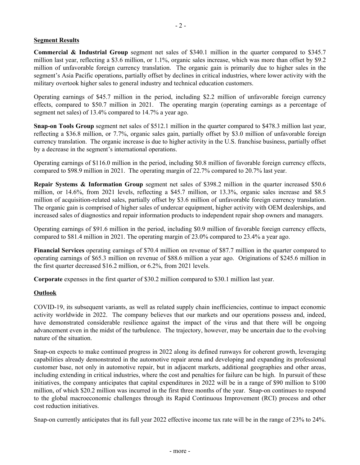### **Segment Results**

**Commercial & Industrial Group** segment net sales of \$340.1 million in the quarter compared to \$345.7 million last year, reflecting a \$3.6 million, or 1.1%, organic sales increase, which was more than offset by \$9.2 million of unfavorable foreign currency translation. The organic gain is primarily due to higher sales in the segment's Asia Pacific operations, partially offset by declines in critical industries, where lower activity with the military overtook higher sales to general industry and technical education customers.

Operating earnings of \$45.7 million in the period, including \$2.2 million of unfavorable foreign currency effects, compared to \$50.7 million in 2021. The operating margin (operating earnings as a percentage of segment net sales) of 13.4% compared to 14.7% a year ago.

**Snap-on Tools Group** segment net sales of \$512.1 million in the quarter compared to \$478.3 million last year, reflecting a \$36.8 million, or 7.7%, organic sales gain, partially offset by \$3.0 million of unfavorable foreign currency translation. The organic increase is due to higher activity in the U.S. franchise business, partially offset by a decrease in the segment's international operations.

Operating earnings of \$116.0 million in the period, including \$0.8 million of favorable foreign currency effects, compared to \$98.9 million in 2021. The operating margin of 22.7% compared to 20.7% last year.

**Repair Systems & Information Group** segment net sales of \$398.2 million in the quarter increased \$50.6 million, or 14.6%, from 2021 levels, reflecting a \$45.7 million, or 13.3%, organic sales increase and \$8.5 million of acquisition-related sales, partially offset by \$3.6 million of unfavorable foreign currency translation. The organic gain is comprised of higher sales of undercar equipment, higher activity with OEM dealerships, and increased sales of diagnostics and repair information products to independent repair shop owners and managers.

Operating earnings of \$91.6 million in the period, including \$0.9 million of favorable foreign currency effects, compared to \$81.4 million in 2021. The operating margin of 23.0% compared to 23.4% a year ago.

**Financial Services** operating earnings of \$70.4 million on revenue of \$87.7 million in the quarter compared to operating earnings of \$65.3 million on revenue of \$88.6 million a year ago. Originations of \$245.6 million in the first quarter decreased \$16.2 million, or 6.2%, from 2021 levels.

**Corporate** expenses in the first quarter of \$30.2 million compared to \$30.1 million last year.

#### **Outlook**

COVID-19, its subsequent variants, as well as related supply chain inefficiencies, continue to impact economic activity worldwide in 2022. The company believes that our markets and our operations possess and, indeed, have demonstrated considerable resilience against the impact of the virus and that there will be ongoing advancement even in the midst of the turbulence. The trajectory, however, may be uncertain due to the evolving nature of the situation.

Snap-on expects to make continued progress in 2022 along its defined runways for coherent growth, leveraging capabilities already demonstrated in the automotive repair arena and developing and expanding its professional customer base, not only in automotive repair, but in adjacent markets, additional geographies and other areas, including extending in critical industries, where the cost and penalties for failure can be high. In pursuit of these initiatives, the company anticipates that capital expenditures in 2022 will be in a range of \$90 million to \$100 million, of which \$20.2 million was incurred in the first three months of the year. Snap-on continues to respond to the global macroeconomic challenges through its Rapid Continuous Improvement (RCI) process and other cost reduction initiatives.

Snap-on currently anticipates that its full year 2022 effective income tax rate will be in the range of 23% to 24%.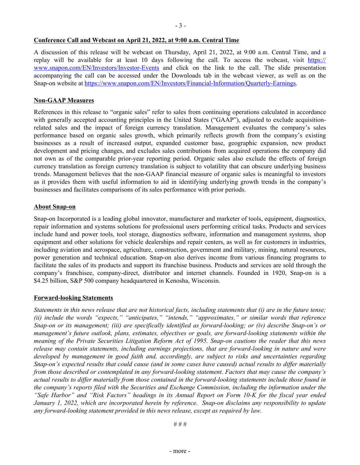#### **Conference Call and Webcast on April 21, 2022, at 9:00 a.m. Central Time**

A discussion of this release will be webcast on Thursday, April 21, 2022, at 9:00 a.m. Central Time, and a replay will be available for at least 10 days following the call. To access the webcast, visit [https://](https://www.snapon.com/EN/Investors/Investor-Events) [www.snapon.com/EN/Investors/Investor-Events](https://www.snapon.com/EN/Investors/Investor-Events) and click on the link to the call. The slide presentation accompanying the call can be accessed under the Downloads tab in the webcast viewer, as well as on the Snap-on website at<https://www.snapon.com/EN/Investors/Financial-Information/Quarterly-Earnings>.

#### **Non-GAAP Measures**

References in this release to "organic sales" refer to sales from continuing operations calculated in accordance with generally accepted accounting principles in the United States ("GAAP"), adjusted to exclude acquisitionrelated sales and the impact of foreign currency translation. Management evaluates the company's sales performance based on organic sales growth, which primarily reflects growth from the company's existing businesses as a result of increased output, expanded customer base, geographic expansion, new product development and pricing changes, and excludes sales contributions from acquired operations the company did not own as of the comparable prior-year reporting period. Organic sales also exclude the effects of foreign currency translation as foreign currency translation is subject to volatility that can obscure underlying business trends. Management believes that the non-GAAP financial measure of organic sales is meaningful to investors as it provides them with useful information to aid in identifying underlying growth trends in the company's businesses and facilitates comparisons of its sales performance with prior periods.

#### **About Snap-on**

Snap-on Incorporated is a leading global innovator, manufacturer and marketer of tools, equipment, diagnostics, repair information and systems solutions for professional users performing critical tasks. Products and services include hand and power tools, tool storage, diagnostics software, information and management systems, shop equipment and other solutions for vehicle dealerships and repair centers, as well as for customers in industries, including aviation and aerospace, agriculture, construction, government and military, mining, natural resources, power generation and technical education. Snap-on also derives income from various financing programs to facilitate the sales of its products and support its franchise business. Products and services are sold through the company's franchisee, company-direct, distributor and internet channels. Founded in 1920, Snap-on is a \$4.25 billion, S&P 500 company headquartered in Kenosha, Wisconsin.

#### **Forward-looking Statements**

*Statements in this news release that are not historical facts, including statements that (i) are in the future tense; (ii) include the words "expects," "anticipates," "intends," "approximates," or similar words that reference Snap-on or its management; (iii) are specifically identified as forward-looking; or (iv) describe Snap-on's or management's future outlook, plans, estimates, objectives or goals, are forward-looking statements within the meaning of the Private Securities Litigation Reform Act of 1995. Snap-on cautions the reader that this news*  release may contain statements, including earnings projections, that are forward-looking in nature and were *developed by management in good faith and, accordingly, are subject to risks and uncertainties regarding Snap-on's expected results that could cause (and in some cases have caused) actual results to differ materially from those described or contemplated in any forward-looking statement. Factors that may cause the company's actual results to differ materially from those contained in the forward-looking statements include those found in the company's reports filed with the Securities and Exchange Commission, including the information under the "Safe Harbor" and "Risk Factors" headings in its Annual Report on Form 10-K for the fiscal year ended January 1, 2022, which are incorporated herein by reference. Snap-on disclaims any responsibility to update any forward-looking statement provided in this news release, except as required by law.*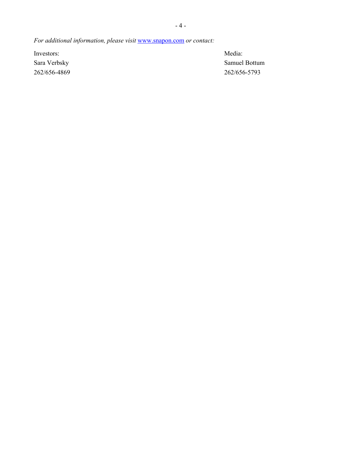*For additional information, please visit* <www.snapon.com> *or contact:*

Investors: Media:

Sara Verbsky Samuel Bottum 262/656-4869 262/656-5793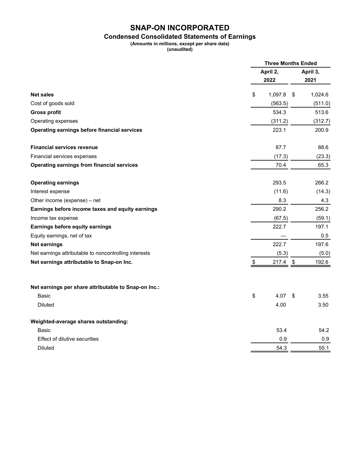## **Condensed Consolidated Statements of Earnings**

**(Amounts in millions, except per share data)**

**(unaudited)**

|                                                       | <b>Three Months Ended</b> |            |          |         |
|-------------------------------------------------------|---------------------------|------------|----------|---------|
|                                                       | April 2,                  |            | April 3, |         |
|                                                       |                           | 2022       |          | 2021    |
| <b>Net sales</b>                                      | \$                        | 1,097.8    | \$       | 1,024.6 |
| Cost of goods sold                                    |                           | (563.5)    |          | (511.0) |
| <b>Gross profit</b>                                   |                           | 534.3      |          | 513.6   |
| Operating expenses                                    |                           | (311.2)    |          | (312.7) |
| <b>Operating earnings before financial services</b>   |                           | 223.1      |          | 200.9   |
| <b>Financial services revenue</b>                     |                           | 87.7       |          | 88.6    |
| Financial services expenses                           |                           | (17.3)     |          | (23.3)  |
| <b>Operating earnings from financial services</b>     |                           | 70.4       |          | 65.3    |
| <b>Operating earnings</b>                             |                           | 293.5      |          | 266.2   |
| Interest expense                                      |                           | (11.6)     |          | (14.3)  |
| Other income (expense) - net                          |                           | 8.3        |          | 4.3     |
| Earnings before income taxes and equity earnings      |                           | 290.2      |          | 256.2   |
| Income tax expense                                    |                           | (67.5)     |          | (59.1)  |
| Earnings before equity earnings                       |                           | 222.7      |          | 197.1   |
| Equity earnings, net of tax                           |                           |            |          | 0.5     |
| Net earnings                                          |                           | 222.7      |          | 197.6   |
| Net earnings attributable to noncontrolling interests |                           | (5.3)      |          | (5.0)   |
| Net earnings attributable to Snap-on Inc.             | \$                        | $217.4$ \$ |          | 192.6   |
| Net earnings per share attributable to Snap-on Inc.:  |                           |            |          |         |
| Basic                                                 | \$                        | 4.07       | \$       | 3.55    |
| <b>Diluted</b>                                        |                           | 4.00       |          | 3.50    |
| Weighted-average shares outstanding:                  |                           |            |          |         |
| Basic                                                 |                           | 53.4       |          | 54.2    |
| Effect of dilutive securities                         |                           | 0.9        |          | 0.9     |
| <b>Diluted</b>                                        |                           | 54.3       |          | 55.1    |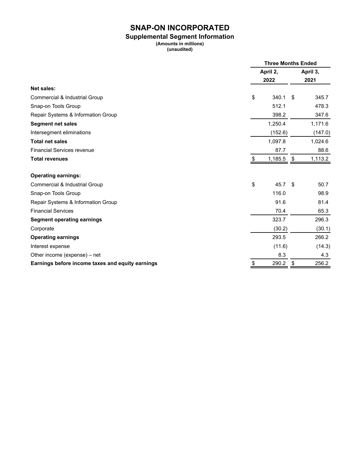#### **Supplemental Segment Information**

**(Amounts in millions) (unaudited)**

|                                                  |    | <b>Three Months Ended</b> |    |          |  |
|--------------------------------------------------|----|---------------------------|----|----------|--|
|                                                  |    | April 2,                  |    | April 3, |  |
|                                                  |    | 2022                      |    | 2021     |  |
| <b>Net sales:</b>                                |    |                           |    |          |  |
| Commercial & Industrial Group                    | \$ | 340.1                     | \$ | 345.7    |  |
| Snap-on Tools Group                              |    | 512.1                     |    | 478.3    |  |
| Repair Systems & Information Group               |    | 398.2                     |    | 347.6    |  |
| <b>Segment net sales</b>                         |    | 1,250.4                   |    | 1,171.6  |  |
| Intersegment eliminations                        |    | (152.6)                   |    | (147.0)  |  |
| <b>Total net sales</b>                           |    | 1,097.8                   |    | 1,024.6  |  |
| <b>Financial Services revenue</b>                |    | 87.7                      |    | 88.6     |  |
| <b>Total revenues</b>                            | S  | 1,185.5                   | \$ | 1,113.2  |  |
| <b>Operating earnings:</b>                       |    |                           |    |          |  |
| Commercial & Industrial Group                    | \$ | 45.7                      | \$ | 50.7     |  |
| Snap-on Tools Group                              |    | 116.0                     |    | 98.9     |  |
| Repair Systems & Information Group               |    | 91.6                      |    | 81.4     |  |
| <b>Financial Services</b>                        |    | 70.4                      |    | 65.3     |  |
| <b>Segment operating earnings</b>                |    | 323.7                     |    | 296.3    |  |
| Corporate                                        |    | (30.2)                    |    | (30.1)   |  |
| <b>Operating earnings</b>                        |    | 293.5                     |    | 266.2    |  |
| Interest expense                                 |    | (11.6)                    |    | (14.3)   |  |
| Other income (expense) - net                     |    | 8.3                       |    | 4.3      |  |
| Earnings before income taxes and equity earnings | \$ | 290.2                     | \$ | 256.2    |  |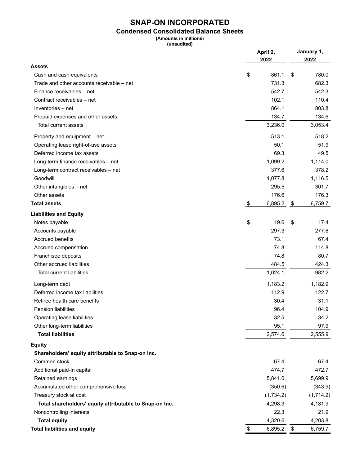## **Condensed Consolidated Balance Sheets**

**(Amounts in millions)**

**(unaudited)**

|                                                         | April 2,<br>2022 | January 1,<br>2022 |
|---------------------------------------------------------|------------------|--------------------|
| <b>Assets</b>                                           |                  |                    |
| Cash and cash equivalents                               | \$<br>861.1      | 780.0<br>\$        |
| Trade and other accounts receivable – net               | 731.3            | 682.3              |
| Finance receivables - net                               | 542.7            | 542.3              |
| Contract receivables - net                              | 102.1            | 110.4              |
| Inventories - net                                       | 864.1            | 803.8              |
| Prepaid expenses and other assets                       | 134.7            | 134.6              |
| Total current assets                                    | 3,236.0          | 3,053.4            |
| Property and equipment – net                            | 513.1            | 518.2              |
| Operating lease right-of-use assets                     | 50.1             | 51.9               |
| Deferred income tax assets                              | 69.3             | 49.5               |
| Long-term finance receivables - net                     | 1,099.2          | 1,114.0            |
| Long-term contract receivables - net                    | 377.6            | 378.2              |
| Goodwill                                                | 1,077.8          | 1,116.5            |
| Other intangibles - net                                 | 295.5            | 301.7              |
| Other assets                                            | 176.6            | 176.3              |
| <b>Total assets</b>                                     | \$<br>6,895.2    | \$<br>6,759.7      |
| <b>Liabilities and Equity</b>                           |                  |                    |
| Notes payable                                           | \$<br>19.6       | \$<br>17.4         |
| Accounts payable                                        | 297.3            | 277.6              |
| <b>Accrued benefits</b>                                 | 73.1             | 67.4               |
| Accrued compensation                                    | 74.8             | 114.8              |
| Franchisee deposits                                     | 74.8             | 80.7               |
| Other accrued liabilities                               | 484.5            | 424.3              |
| Total current liabilities                               | 1,024.1          | 982.2              |
| Long-term debt                                          | 1,183.2          | 1,182.9            |
| Deferred income tax liabilities                         | 112.9            | 122.7              |
| Retiree health care benefits                            | 30.4             | 31.1               |
| <b>Pension liabilities</b>                              | 96.4             | 104.9              |
| Operating lease liabilities                             | 32.5             | 34.2               |
| Other long-term liabilities                             | 95.1             | 97.9               |
| <b>Total liabilities</b>                                | 2,574.6          | 2,555.9            |
| <b>Equity</b>                                           |                  |                    |
| Shareholders' equity attributable to Snap-on Inc.       |                  |                    |
| Common stock                                            | 67.4             | 67.4               |
| Additional paid-in capital                              | 474.7            | 472.7              |
| Retained earnings                                       | 5,841.0          | 5,699.9            |
| Accumulated other comprehensive loss                    | (350.6)          | (343.9)            |
| Treasury stock at cost                                  | (1,734.2)        | (1,714.2)          |
| Total shareholders' equity attributable to Snap-on Inc. | 4,298.3          | 4,181.9            |
| Noncontrolling interests                                | 22.3             | 21.9               |
| <b>Total equity</b>                                     | 4,320.6          | 4,203.8            |
| <b>Total liabilities and equity</b>                     | 6,895.2<br>\$    | 6,759.7<br>\$      |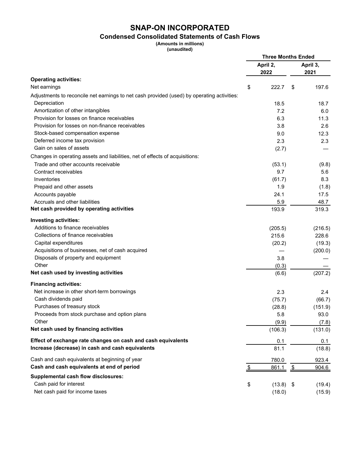## **Condensed Consolidated Statements of Cash Flows**

**(Amounts in millions)**

|  | (unaudited) |  |  |
|--|-------------|--|--|
|  |             |  |  |

|                                                                                            | <b>Three Months Ended</b> |                  |                          |               |
|--------------------------------------------------------------------------------------------|---------------------------|------------------|--------------------------|---------------|
|                                                                                            |                           | April 2,<br>2022 | April 3,<br>2021         |               |
| <b>Operating activities:</b>                                                               |                           |                  |                          |               |
| Net earnings                                                                               | \$                        | 222.7            | S                        | 197.6         |
| Adjustments to reconcile net earnings to net cash provided (used) by operating activities: |                           |                  |                          |               |
| Depreciation                                                                               |                           | 18.5             |                          | 18.7          |
| Amortization of other intangibles                                                          |                           | 7.2              |                          | 6.0           |
| Provision for losses on finance receivables                                                |                           | 6.3              |                          | 11.3          |
| Provision for losses on non-finance receivables                                            |                           | 3.8              |                          | 2.6           |
| Stock-based compensation expense                                                           |                           | 9.0              |                          | 12.3          |
| Deferred income tax provision                                                              |                           | 2.3              |                          | 2.3           |
| Gain on sales of assets                                                                    |                           | (2.7)            |                          |               |
| Changes in operating assets and liabilities, net of effects of acquisitions:               |                           |                  |                          |               |
| Trade and other accounts receivable                                                        |                           | (53.1)           |                          | (9.8)         |
| Contract receivables                                                                       |                           | 9.7              |                          | 5.6           |
| Inventories                                                                                |                           | (61.7)           |                          | 8.3           |
| Prepaid and other assets                                                                   |                           | 1.9              |                          | (1.8)         |
| Accounts payable                                                                           |                           | 24.1             |                          | 17.5          |
| Accruals and other liabilities                                                             |                           | 5.9              |                          | 48.7          |
| Net cash provided by operating activities                                                  |                           | 193.9            |                          | 319.3         |
| <b>Investing activities:</b>                                                               |                           |                  |                          |               |
| Additions to finance receivables                                                           |                           | (205.5)          |                          | (216.5)       |
| Collections of finance receivables                                                         |                           | 215.6            |                          | 228.6         |
| Capital expenditures                                                                       |                           | (20.2)           |                          | (19.3)        |
| Acquisitions of businesses, net of cash acquired                                           |                           |                  |                          | (200.0)       |
| Disposals of property and equipment                                                        |                           | 3.8              |                          |               |
| Other                                                                                      |                           | (0.3)            |                          |               |
| Net cash used by investing activities                                                      |                           | (6.6)            |                          | (207.2)       |
| <b>Financing activities:</b>                                                               |                           |                  |                          |               |
| Net increase in other short-term borrowings                                                |                           | 2.3              |                          | $2.4^{\circ}$ |
| Cash dividends paid                                                                        |                           | (75.7)           |                          | (66.7)        |
| Purchases of treasury stock                                                                |                           | (28.8)           |                          | (151.9)       |
| Proceeds from stock purchase and option plans                                              |                           | 5.8              |                          | 93.0          |
| Other                                                                                      |                           | (9.9)            |                          | (7.8)         |
| Net cash used by financing activities                                                      |                           | (106.3)          |                          | (131.0)       |
| Effect of exchange rate changes on cash and cash equivalents                               |                           | 0.1              |                          | 0.1           |
| Increase (decrease) in cash and cash equivalents                                           |                           | 81.1             |                          | (18.8)        |
| Cash and cash equivalents at beginning of year                                             |                           | 780.0            |                          | 923.4         |
| Cash and cash equivalents at end of period                                                 | <u>\$</u>                 | <u>861.1</u>     | $\overline{\mathcal{F}}$ | 904.6         |
| <b>Supplemental cash flow disclosures:</b>                                                 |                           |                  |                          |               |
| Cash paid for interest                                                                     | \$                        | (13.8)           | \$                       | (19.4)        |
| Net cash paid for income taxes                                                             |                           | (18.0)           |                          | (15.9)        |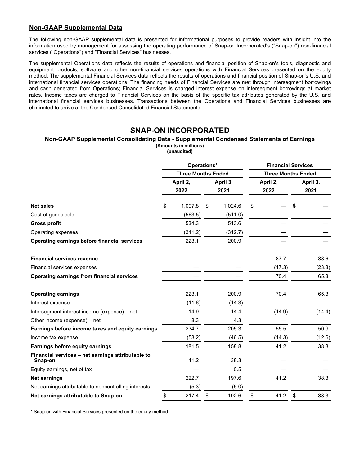### **Non-GAAP Supplemental Data**

The following non-GAAP supplemental data is presented for informational purposes to provide readers with insight into the information used by management for assessing the operating performance of Snap-on Incorporated's ("Snap-on") non-financial services ("Operations") and "Financial Services" businesses.

The supplemental Operations data reflects the results of operations and financial position of Snap-on's tools, diagnostic and equipment products, software and other non-financial services operations with Financial Services presented on the equity method. The supplemental Financial Services data reflects the results of operations and financial position of Snap-on's U.S. and international financial services operations. The financing needs of Financial Services are met through intersegment borrowings and cash generated from Operations; Financial Services is charged interest expense on intersegment borrowings at market rates. Income taxes are charged to Financial Services on the basis of the specific tax attributes generated by the U.S. and international financial services businesses. Transactions between the Operations and Financial Services businesses are eliminated to arrive at the Condensed Consolidated Financial Statements.

### **SNAP-ON INCORPORATED**

#### **Non-GAAP Supplemental Consolidating Data - Supplemental Condensed Statements of Earnings (Amounts in millions)**

**(unaudited)**

|                                                              | Operations*               |                  |    |                           | <b>Financial Services</b> |                  |    |                  |  |
|--------------------------------------------------------------|---------------------------|------------------|----|---------------------------|---------------------------|------------------|----|------------------|--|
|                                                              | <b>Three Months Ended</b> |                  |    | <b>Three Months Ended</b> |                           |                  |    |                  |  |
|                                                              |                           | April 2,<br>2022 |    | April 3,<br>2021          |                           | April 2,<br>2022 |    | April 3,<br>2021 |  |
| <b>Net sales</b>                                             | \$                        | 1,097.8          | \$ | 1,024.6                   | \$                        |                  | \$ |                  |  |
| Cost of goods sold                                           |                           | (563.5)          |    | (511.0)                   |                           |                  |    |                  |  |
| <b>Gross profit</b>                                          |                           | 534.3            |    | 513.6                     |                           |                  |    |                  |  |
| Operating expenses                                           |                           | (311.2)          |    | (312.7)                   |                           |                  |    |                  |  |
| Operating earnings before financial services                 |                           | 223.1            |    | 200.9                     |                           |                  |    |                  |  |
| <b>Financial services revenue</b>                            |                           |                  |    |                           |                           | 87.7             |    | 88.6             |  |
| Financial services expenses                                  |                           |                  |    |                           |                           | (17.3)           |    | (23.3)           |  |
| <b>Operating earnings from financial services</b>            |                           |                  |    |                           |                           | 70.4             |    | 65.3             |  |
| <b>Operating earnings</b>                                    |                           | 223.1            |    | 200.9                     |                           | 70.4             |    | 65.3             |  |
| Interest expense                                             |                           | (11.6)           |    | (14.3)                    |                           |                  |    |                  |  |
| Intersegment interest income (expense) - net                 |                           | 14.9             |    | 14.4                      |                           | (14.9)           |    | (14.4)           |  |
| Other income (expense) – net                                 |                           | 8.3              |    | 4.3                       |                           |                  |    |                  |  |
| Earnings before income taxes and equity earnings             |                           | 234.7            |    | 205.3                     |                           | 55.5             |    | 50.9             |  |
| Income tax expense                                           |                           | (53.2)           |    | (46.5)                    |                           | (14.3)           |    | (12.6)           |  |
| Earnings before equity earnings                              |                           | 181.5            |    | 158.8                     |                           | 41.2             |    | 38.3             |  |
| Financial services - net earnings attributable to<br>Snap-on |                           | 41.2             |    | 38.3                      |                           |                  |    |                  |  |
| Equity earnings, net of tax                                  |                           |                  |    | 0.5                       |                           |                  |    |                  |  |
| Net earnings                                                 |                           | 222.7            |    | 197.6                     |                           | 41.2             |    | 38.3             |  |
| Net earnings attributable to noncontrolling interests        |                           | (5.3)            |    | (5.0)                     |                           |                  |    |                  |  |
| Net earnings attributable to Snap-on                         | \$                        | 217.4            | \$ | 192.6                     | \$                        | 41.2             | \$ | 38.3             |  |

\* Snap-on with Financial Services presented on the equity method.